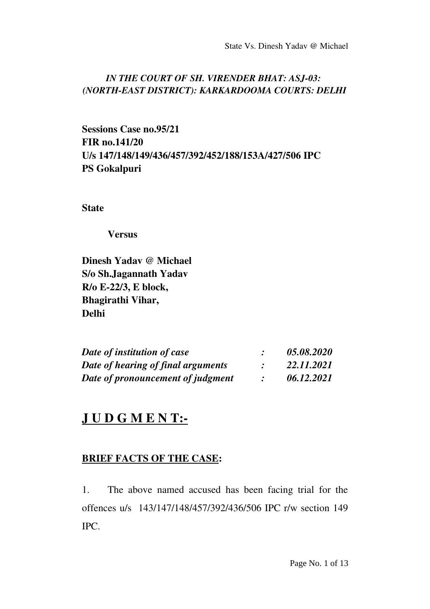## *IN THE COURT OF SH. VIRENDER BHAT: ASJ-03: (NORTHEAST DISTRICT): KARKARDOOMA COURTS: DELHI*

Sessions Case no.95/21 FIR no.141/20 U/s 147/148/149/436/457/392/452/188/153A/427/506 IPC PS Gokalpuri

**State** 

Versus

Dinesh Yadav @ Michael S/o Sh.Jagannath Yadav R/o E22/3, E block, Bhagirathi Vihar, Delhi

| Date of institution of case<br>Date of hearing of final arguments<br>Date of pronouncement of judgment |  | 05.08.2020<br>22.11.2021<br>06.12.2021 |
|--------------------------------------------------------------------------------------------------------|--|----------------------------------------|
|                                                                                                        |  |                                        |
|                                                                                                        |  |                                        |

## JUDGMENT:-

## BRIEF FACTS OF THE CASE:

1. The above named accused has been facing trial for the offences u/s 143/147/148/457/392/436/506 IPC r/w section 149 IPC.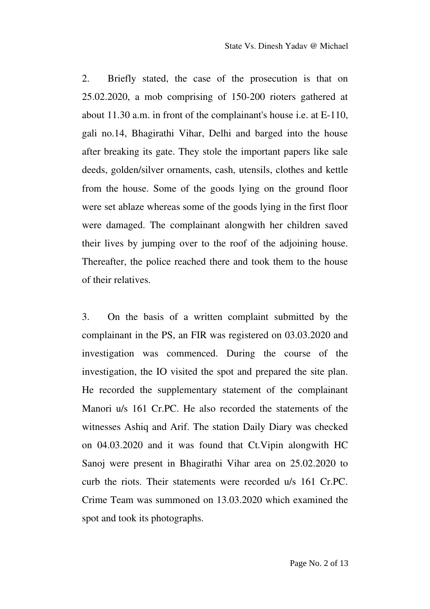2. Briefly stated, the case of the prosecution is that on  $25.02.2020$ , a mob comprising of  $150-200$  rioters gathered at about  $11.30$  a.m. in front of the complainant's house i.e. at  $E-110$ , gali no.14, Bhagirathi Vihar, Delhi and barged into the house after breaking its gate. They stole the important papers like sale deeds, golden/silver ornaments, cash, utensils, clothes and kettle from the house. Some of the goods lying on the ground floor were set ablaze whereas some of the goods lying in the first floor were damaged. The complainant alongwith her children saved their lives by jumping over to the roof of the adjoining house. Thereafter, the police reached there and took them to the house of their relatives.

3. On the basis of a written complaint submitted by the complainant in the PS, an FIR was registered on 03.03.2020 and investigation was commenced. During the course of the investigation, the IO visited the spot and prepared the site plan. He recorded the supplementary statement of the complainant Manori u/s 161 Cr.PC. He also recorded the statements of the witnesses Ashiq and Arif. The station Daily Diary was checked on  $04.03.2020$  and it was found that Ct. Vipin alongwith  $HC$ Sanoj were present in Bhagirathi Vihar area on 25.02.2020 to curb the riots. Their statements were recorded u/s 161 Cr.PC. Crime Team was summoned on 13.03.2020 which examined the spot and took its photographs.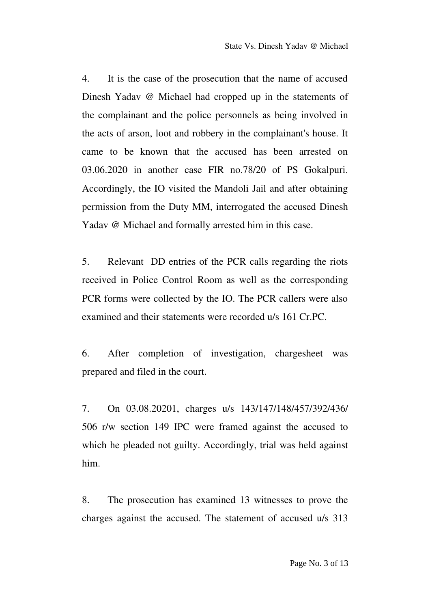4. It is the case of the prosecution that the name of accused Dinesh Yadav @ Michael had cropped up in the statements of the complainant and the police personnels as being involved in the acts of arson, loot and robbery in the complainant's house. It came to be known that the accused has been arrested on 03.06.2020 in another case FIR no.78/20 of PS Gokalpuri. Accordingly, the IO visited the Mandoli Jail and after obtaining permission from the Duty MM, interrogated the accused Dinesh Yadav @ Michael and formally arrested him in this case.

5. Relevant DD entries of the PCR calls regarding the riots received in Police Control Room as well as the corresponding PCR forms were collected by the IO. The PCR callers were also examined and their statements were recorded u/s 161 Cr.PC.

6. After completion of investigation, chargesheet was prepared and filed in the court.

7. On 03.08.20201, charges u/s 143/147/148/457/392/436/ 506 r/w section 149 IPC were framed against the accused to which he pleaded not guilty. Accordingly, trial was held against him.

8. The prosecution has examined 13 witnesses to prove the charges against the accused. The statement of accused u/s 313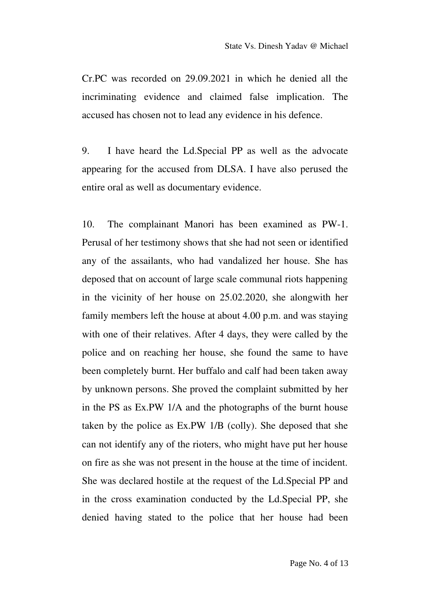Cr.PC was recorded on 29.09.2021 in which he denied all the incriminating evidence and claimed false implication. The accused has chosen not to lead any evidence in his defence.

9. I have heard the Ld.Special PP as well as the advocate appearing for the accused from DLSA. I have also perused the entire oral as well as documentary evidence.

10. The complainant Manori has been examined as PW-1. Perusal of her testimony shows that she had not seen or identified any of the assailants, who had vandalized her house. She has deposed that on account of large scale communal riots happening in the vicinity of her house on 25.02.2020, she alongwith her family members left the house at about 4.00 p.m. and was staying with one of their relatives. After 4 days, they were called by the police and on reaching her house, she found the same to have been completely burnt. Her buffalo and calf had been taken away by unknown persons. She proved the complaint submitted by her in the PS as Ex.PW 1/A and the photographs of the burnt house taken by the police as Ex.PW 1/B (colly). She deposed that she can not identify any of the rioters, who might have put her house on fire as she was not present in the house at the time of incident. She was declared hostile at the request of the Ld.Special PP and in the cross examination conducted by the Ld.Special PP, she denied having stated to the police that her house had been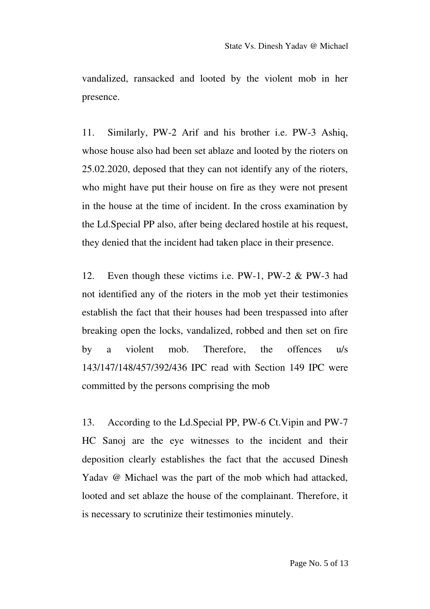vandalized, ransacked and looted by the violent mob in her presence.

11. Similarly, PW-2 Arif and his brother i.e. PW-3 Ashiq, whose house also had been set ablaze and looted by the rioters on 25.02.2020, deposed that they can not identify any of the rioters, who might have put their house on fire as they were not present in the house at the time of incident. In the cross examination by the Ld.Special PP also, after being declared hostile at his request, they denied that the incident had taken place in their presence.

12. Even though these victims i.e.  $PW-1$ ,  $PW-2 \& PW-3$  had not identified any of the rioters in the mob yet their testimonies establish the fact that their houses had been trespassed into after breaking open the locks, vandalized, robbed and then set on fire by a violent mob. Therefore, the offences u/s 143/147/148/457/392/436 IPC read with Section 149 IPC were committed by the persons comprising the mob

13. According to the Ld.Special PP, PW-6 Ct. Vipin and PW-7 HC Sanoj are the eye witnesses to the incident and their deposition clearly establishes the fact that the accused Dinesh Yadav @ Michael was the part of the mob which had attacked, looted and set ablaze the house of the complainant. Therefore, it is necessary to scrutinize their testimonies minutely.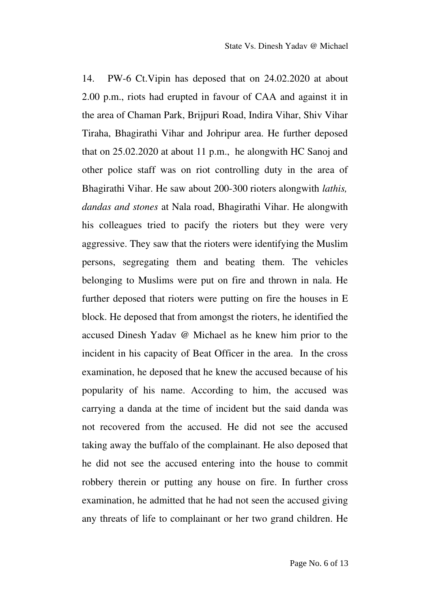14. PW-6 Ct. Vipin has deposed that on 24.02.2020 at about 2.00 p.m., riots had erupted in favour of CAA and against it in the area of Chaman Park, Brijpuri Road, Indira Vihar, Shiv Vihar Tiraha, Bhagirathi Vihar and Johripur area. He further deposed that on 25.02.2020 at about 11 p.m., he alongwith HC Sanoj and other police staff was on riot controlling duty in the area of Bhagirathi Vihar. He saw about 200300 rioters alongwith *lathis, dandas and stones* at Nala road, Bhagirathi Vihar. He alongwith his colleagues tried to pacify the rioters but they were very aggressive. They saw that the rioters were identifying the Muslim persons, segregating them and beating them. The vehicles belonging to Muslims were put on fire and thrown in nala. He further deposed that rioters were putting on fire the houses in E block. He deposed that from amongst the rioters, he identified the accused Dinesh Yadav @ Michael as he knew him prior to the incident in his capacity of Beat Officer in the area. In the cross examination, he deposed that he knew the accused because of his popularity of his name. According to him, the accused was carrying a danda at the time of incident but the said danda was not recovered from the accused. He did not see the accused taking away the buffalo of the complainant. He also deposed that he did not see the accused entering into the house to commit robbery therein or putting any house on fire. In further cross examination, he admitted that he had not seen the accused giving any threats of life to complainant or her two grand children. He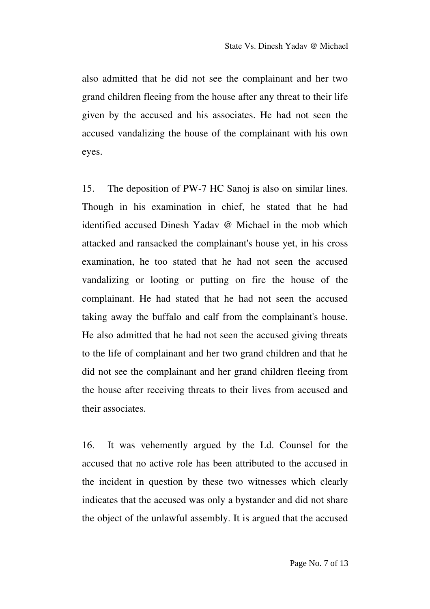also admitted that he did not see the complainant and her two grand children fleeing from the house after any threat to their life given by the accused and his associates. He had not seen the accused vandalizing the house of the complainant with his own eyes.

15. The deposition of PW-7 HC Sanoj is also on similar lines. Though in his examination in chief, he stated that he had identified accused Dinesh Yadav @ Michael in the mob which attacked and ransacked the complainant's house yet, in his cross examination, he too stated that he had not seen the accused vandalizing or looting or putting on fire the house of the complainant. He had stated that he had not seen the accused taking away the buffalo and calf from the complainant's house. He also admitted that he had not seen the accused giving threats to the life of complainant and her two grand children and that he did not see the complainant and her grand children fleeing from the house after receiving threats to their lives from accused and their associates.

16. It was vehemently argued by the Ld. Counsel for the accused that no active role has been attributed to the accused in the incident in question by these two witnesses which clearly indicates that the accused was only a bystander and did not share the object of the unlawful assembly. It is argued that the accused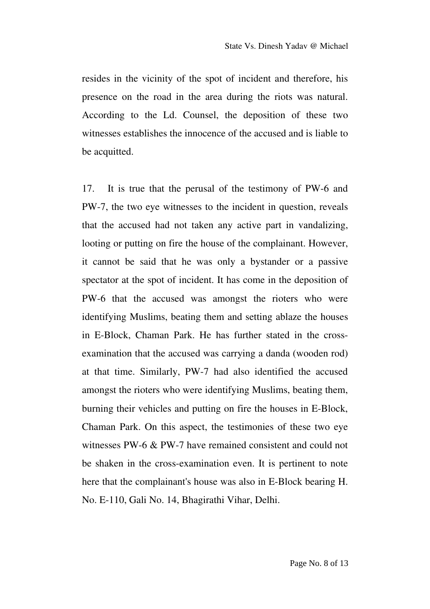resides in the vicinity of the spot of incident and therefore, his presence on the road in the area during the riots was natural. According to the Ld. Counsel, the deposition of these two witnesses establishes the innocence of the accused and is liable to be acquitted.

17. It is true that the perusal of the testimony of PW-6 and PW7, the two eye witnesses to the incident in question, reveals that the accused had not taken any active part in vandalizing, looting or putting on fire the house of the complainant. However, it cannot be said that he was only a bystander or a passive spectator at the spot of incident. It has come in the deposition of PW-6 that the accused was amongst the rioters who were identifying Muslims, beating them and setting ablaze the houses in E-Block, Chaman Park. He has further stated in the crossexamination that the accused was carrying a danda (wooden rod) at that time. Similarly, PW-7 had also identified the accused amongst the rioters who were identifying Muslims, beating them, burning their vehicles and putting on fire the houses in E-Block, Chaman Park. On this aspect, the testimonies of these two eye witnesses PW-6  $&$  PW-7 have remained consistent and could not be shaken in the cross-examination even. It is pertinent to note here that the complainant's house was also in E-Block bearing H. No. E110, Gali No. 14, Bhagirathi Vihar, Delhi.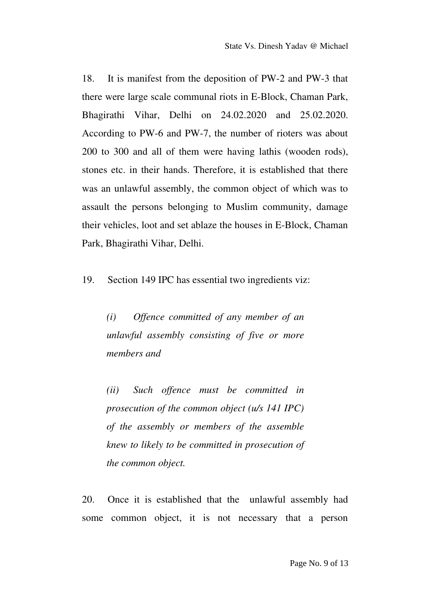18. It is manifest from the deposition of PW-2 and PW-3 that there were large scale communal riots in E-Block, Chaman Park, Bhagirathi Vihar, Delhi on 24.02.2020 and 25.02.2020. According to PW-6 and PW-7, the number of rioters was about 200 to 300 and all of them were having lathis (wooden rods), stones etc. in their hands. Therefore, it is established that there was an unlawful assembly, the common object of which was to assault the persons belonging to Muslim community, damage their vehicles, loot and set ablaze the houses in E-Block, Chaman Park, Bhagirathi Vihar, Delhi.

19. Section 149 IPC has essential two ingredients viz:

*(i) Offence committed of any member of an unlawful assembly consisting of five or more members and*

*(ii) Such offence must be committed in prosecution of the common object (u/s 141 IPC) of the assembly or members of the assemble knew to likely to be committed in prosecution of the common object.*

20. Once it is established that the unlawful assembly had some common object, it is not necessary that a person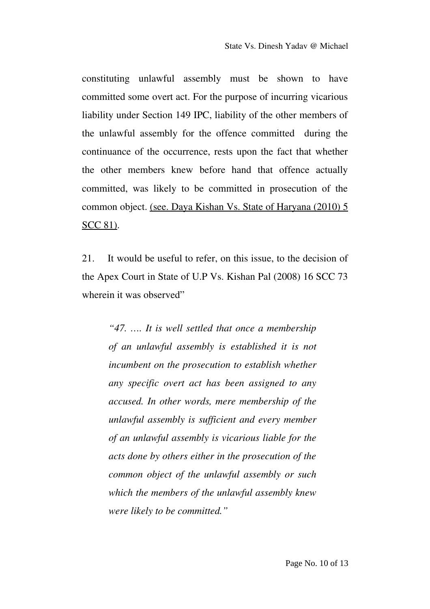constituting unlawful assembly must be shown to have committed some overt act. For the purpose of incurring vicarious liability under Section 149 IPC, liability of the other members of the unlawful assembly for the offence committed during the continuance of the occurrence, rests upon the fact that whether the other members knew before hand that offence actually committed, was likely to be committed in prosecution of the common object. (see. Daya Kishan Vs. State of Haryana (2010) 5 SCC 81).

21. It would be useful to refer, on this issue, to the decision of the Apex Court in State of U.P Vs. Kishan Pal (2008) 16 SCC 73 wherein it was observed"

*"47. …. It is well settled that once a membership of an unlawful assembly is established it is not incumbent on the prosecution to establish whether any specific overt act has been assigned to any accused. In other words, mere membership of the unlawful assembly is sufficient and every member of an unlawful assembly is vicarious liable for the acts done by others either in the prosecution of the common object of the unlawful assembly or such which the members of the unlawful assembly knew were likely to be committed."*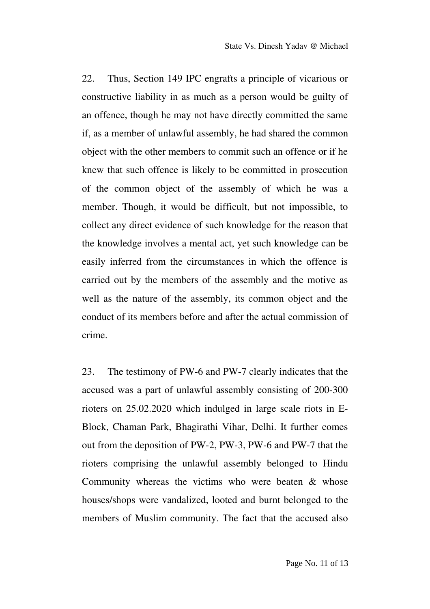22. Thus, Section 149 IPC engrafts a principle of vicarious or constructive liability in as much as a person would be guilty of an offence, though he may not have directly committed the same if, as a member of unlawful assembly, he had shared the common object with the other members to commit such an offence or if he knew that such offence is likely to be committed in prosecution of the common object of the assembly of which he was a member. Though, it would be difficult, but not impossible, to collect any direct evidence of such knowledge for the reason that the knowledge involves a mental act, yet such knowledge can be easily inferred from the circumstances in which the offence is carried out by the members of the assembly and the motive as well as the nature of the assembly, its common object and the conduct of its members before and after the actual commission of crime.

23. The testimony of PW-6 and PW-7 clearly indicates that the accused was a part of unlawful assembly consisting of 200-300 rioters on 25.02.2020 which indulged in large scale riots in E-Block, Chaman Park, Bhagirathi Vihar, Delhi. It further comes out from the deposition of PW-2, PW-3, PW-6 and PW-7 that the rioters comprising the unlawful assembly belonged to Hindu Community whereas the victims who were beaten  $\&$  whose houses/shops were vandalized, looted and burnt belonged to the members of Muslim community. The fact that the accused also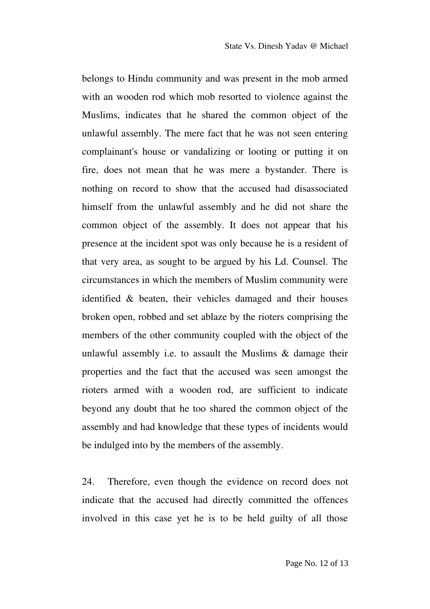belongs to Hindu community and was present in the mob armed with an wooden rod which mob resorted to violence against the Muslims, indicates that he shared the common object of the unlawful assembly. The mere fact that he was not seen entering complainant's house or vandalizing or looting or putting it on fire, does not mean that he was mere a bystander. There is nothing on record to show that the accused had disassociated himself from the unlawful assembly and he did not share the common object of the assembly. It does not appear that his presence at the incident spot was only because he is a resident of that very area, as sought to be argued by his Ld. Counsel. The circumstances in which the members of Muslim community were identified & beaten, their vehicles damaged and their houses broken open, robbed and set ablaze by the rioters comprising the members of the other community coupled with the object of the unlawful assembly i.e. to assault the Muslims & damage their properties and the fact that the accused was seen amongst the rioters armed with a wooden rod, are sufficient to indicate beyond any doubt that he too shared the common object of the assembly and had knowledge that these types of incidents would be indulged into by the members of the assembly.

24. Therefore, even though the evidence on record does not indicate that the accused had directly committed the offences involved in this case yet he is to be held guilty of all those